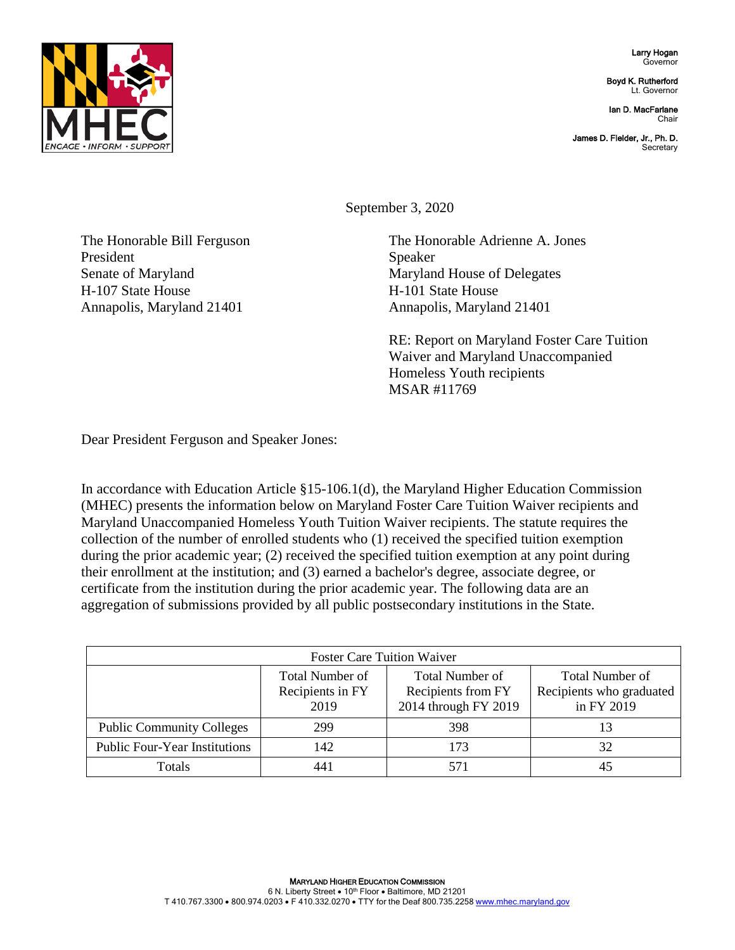

Larry Hogan Governor

Boyd K. Rutherford Lt. Governor

Ian D. MacFarlane Chair

James D. Fielder, Jr., Ph. D. **Secretary** 

September 3, 2020

The Honorable Bill Ferguson The Honorable Adrienne A. Jones President Speaker Senate of Maryland Maryland Maryland House of Delegates H-107 State House H-101 State House Annapolis, Maryland 21401 **Annapolis, Maryland 21401** 

> RE: Report on Maryland Foster Care Tuition Waiver and Maryland Unaccompanied Homeless Youth recipients MSAR #11769

Dear President Ferguson and Speaker Jones:

In accordance with Education Article §15-106.1(d), the Maryland Higher Education Commission (MHEC) presents the information below on Maryland Foster Care Tuition Waiver recipients and Maryland Unaccompanied Homeless Youth Tuition Waiver recipients. The statute requires the collection of the number of enrolled students who (1) received the specified tuition exemption during the prior academic year; (2) received the specified tuition exemption at any point during their enrollment at the institution; and (3) earned a bachelor's degree, associate degree, or certificate from the institution during the prior academic year. The following data are an aggregation of submissions provided by all public postsecondary institutions in the State.

| <b>Foster Care Tuition Waiver</b>    |                                                    |                                                                      |                                                           |  |
|--------------------------------------|----------------------------------------------------|----------------------------------------------------------------------|-----------------------------------------------------------|--|
|                                      | <b>Total Number of</b><br>Recipients in FY<br>2019 | <b>Total Number of</b><br>Recipients from FY<br>2014 through FY 2019 | Total Number of<br>Recipients who graduated<br>in FY 2019 |  |
| <b>Public Community Colleges</b>     | 299                                                | 398                                                                  |                                                           |  |
| <b>Public Four-Year Institutions</b> | 142                                                | 173                                                                  | 32                                                        |  |
| Totals                               | 441                                                | 571                                                                  |                                                           |  |